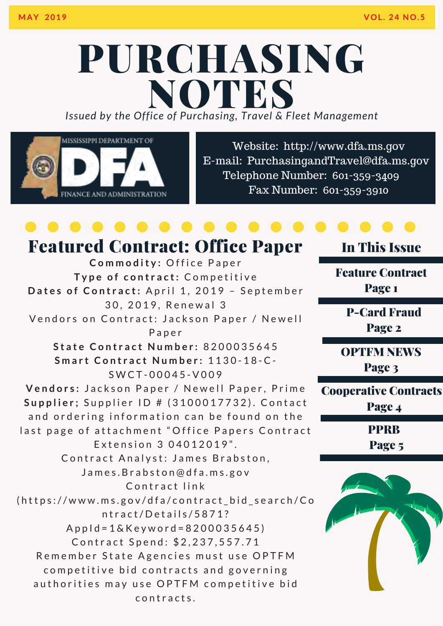### PURCHASING *Issued by the Office of Purchasing, Travel & Fleet Management* **NOTES**



Website: http://www.dfa.ms.gov [E-mail: PurchasingandTravel@dfa.ms.gov](http://www.dfa.ms.gov/)  Telephone Number: 601-359-3409 Fax Number: 601-359-3910

### Commodity: Office Paper Type of contract: Competitive Dates of Contract: April 1, 2019 - September 30, 2019, Renewal 3 Vendors on Contract: Jackson Paper / Newell P a p e r **State Contract Number: 8200035645 Smart Contract Number: 1130-18-C-**S W C T - 0 0 0 4 5 - V 0 0 9 Vendors: Jackson Paper / Newell Paper, Prime **Supplier**; Supplier ID # (3100017732). Contact and ordering information can be found on the last page of attachment "Office Papers Contract Extension 3 04012019". Contract Analyst: James Brabston, James. Brabston@dfa.ms.gov Contract link (https://www.ms.gov/dfa/contract\_bid\_search/Co n t r a c t / D e t a i l s / 5 8 7 1 ?  $Appld = 1 & Keyword = 8200035645$ Contract Spend: \$2,237,557.71 Remember State Agencies must use OPTFM competitive bid contracts and governing authorities may use OPTFM competitive bid contracts. Featured Contract: Office Paper

### In This Issue

Feature Contract Page 1

P-Card Fraud Page 2

OPTFM NEWS

Page 3

Cooperative Contracts Page 4

PPRB

Page 5

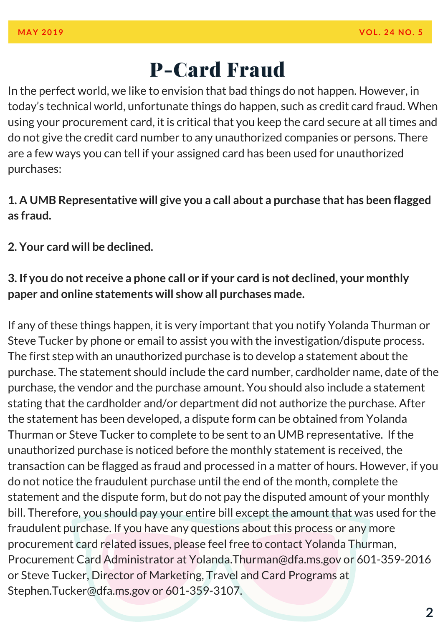### P-Card Fraud

In the perfect world, we like to envision that bad things do not happen. However, in today's technical world, unfortunate things do happen, such as credit card fraud. When using your procurement card, it is critical that you keep the card secure at all times and do not give the credit card number to any unauthorized companies or persons. There are a few ways you can tell if your assigned card has been used for unauthorized purchases:

#### **1. A UMB Representative will give you a call about a purchase that has been flagged as fraud.**

**2. Your card will be declined.**

#### **3. If you do not receive a phone call or if your card is not declined, your monthly paper and online statements will show all purchases made.**

If any of these things happen, it is very important that you notify Yolanda Thurman or Steve Tucker by phone or email to assist you with the investigation/dispute process. The first step with an unauthorized purchase is to develop a statement about the purchase. The statement should include the card number, cardholder name, date of the purchase, the vendor and the purchase amount. You should also include a statement stating that the cardholder and/or department did not authorize the purchase. After the statement has been developed, a dispute form can be obtained from Yolanda Thurman or Steve Tucker to complete to be sent to an UMB representative. If the unauthorized purchase is noticed before the monthly statement is received, the transaction can be flagged as fraud and processed in a matter of hours. However, if you do not notice the fraudulent purchase until the end of the month, complete the statement and the dispute form, but do not pay the disputed amount of your monthly bill. Therefore, you should pay your entire bill except the amount that was used for the fraudulent purchase. If you have any questions about this process or any more procurement card related issues, please feel free to contact Yolanda Thurman, Procurement Card Administrator at Yolanda.Thurman@dfa.ms.gov or 601-359-2016 or Steve Tucker, Director of Marketing, Travel and Card Programs at Stephen.Tucker@dfa.ms.gov or 601-359-3107.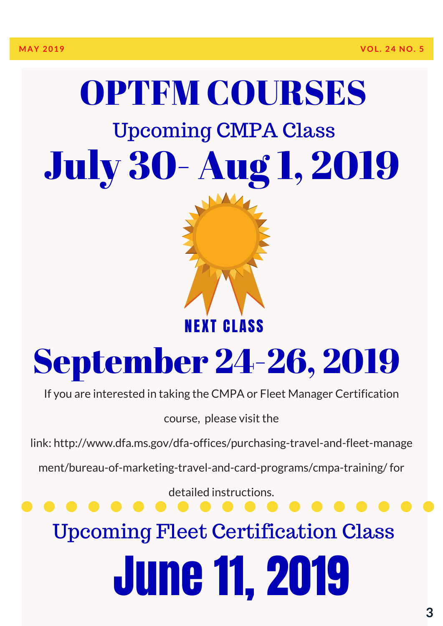# OPTFM COURSES Upcoming CMPA Class July 30- Aug 1, 2019



## September 24-26, 2019

If you are interested in taking the CMPA or Fleet Manager Certification

course, please visit the

[link: http://www.dfa.ms.gov/dfa-offices/purchasing-travel-and-fleet-manage](http://www.dfa.ms.gov/dfa-offices/purchasing-travel-and-fleet-management/bureau-of-marketing-travel-and-card-programs/cmpa-training/) 

ment/bureau-of-marketing-travel-and-card-programs/cmpa-training/ for

detailed instructions.

Upcoming Fleet Certification Class

# June 11, 2019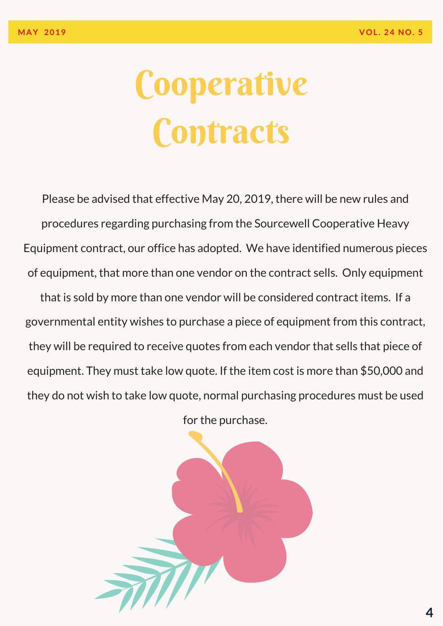# Cooperative **Contracts**

Please be advised that effective May 20, 2019, there will be new rules and procedures regarding purchasing from the Sourcewell Cooperative Heavy Equipment contract, our office has adopted. We have identified numerous pieces of equipment, that more than one vendor on the contract sells. Only equipment that is sold by more than one vendor will be considered contract items. If a governmental entity wishes to purchase a piece of equipment from this contract, they will be required to receive quotes from each vendor that sells that piece of equipment. They must take low quote. If the item cost is more than \$50,000 and they do not wish to take low quote, normal purchasing procedures must be used

for the purchase.

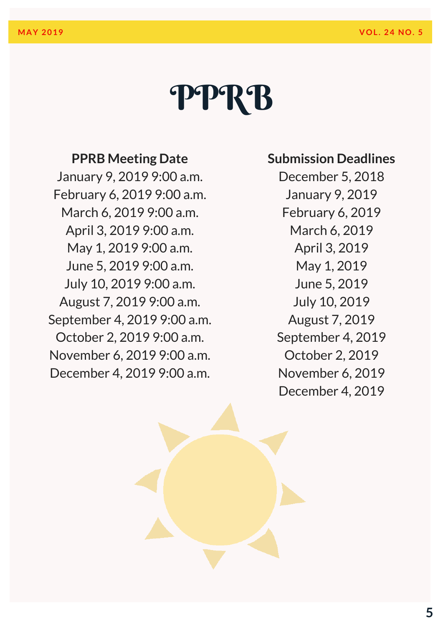### PPRB

#### **PPRB Meeting Date**

January 9, 2019 9:00 a.m. February 6, 2019 9:00 a.m. March 6, 2019 9:00 a.m. April 3, 2019 9:00 a.m. May 1, 2019 9:00 a.m. June 5, 2019 9:00 a.m. July 10, 2019 9:00 a.m. August 7, 2019 9:00 a.m. September 4, 2019 9:00 a.m. October 2, 2019 9:00 a.m. November 6, 2019 9:00 a.m. December 4, 2019 9:00 a.m.

#### **Submission Deadlines**

December 5, 2018 January 9, 2019 February 6, 2019 March 6, 2019 April 3, 2019 May 1, 2019 June 5, 2019 July 10, 2019 August 7, 2019 September 4, 2019 October 2, 2019 November 6, 2019 December 4, 2019